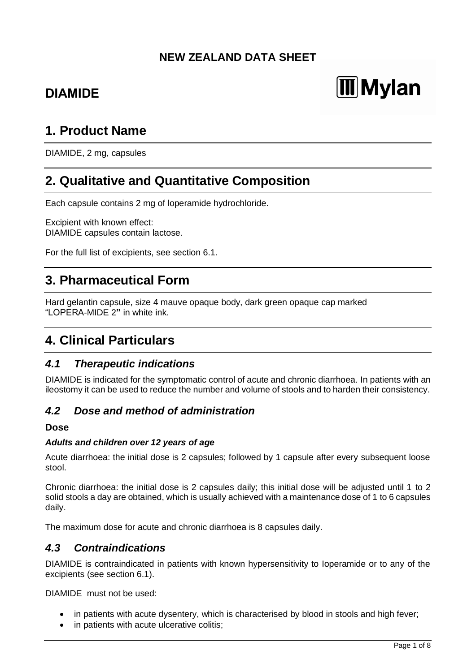# **NEW ZEALAND DATA SHEET**

# **DIAMIDE**

# **Mylan**

# **1. Product Name**

DIAMIDE, 2 mg, capsules

# **2. Qualitative and Quantitative Composition**

Each capsule contains 2 mg of loperamide hydrochloride.

Excipient with known effect: DIAMIDE capsules contain lactose.

For the full list of excipients, see section 6.1.

# **3. Pharmaceutical Form**

Hard gelantin capsule, size 4 mauve opaque body, dark green opaque cap marked "LOPERA-MIDE 2**"** in white ink.

# **4. Clinical Particulars**

## *4.1 Therapeutic indications*

DIAMIDE is indicated for the symptomatic control of acute and chronic diarrhoea. In patients with an ileostomy it can be used to reduce the number and volume of stools and to harden their consistency.

## *4.2 Dose and method of administration*

#### **Dose**

#### *Adults and children over 12 years of age*

Acute diarrhoea: the initial dose is 2 capsules; followed by 1 capsule after every subsequent loose stool.

Chronic diarrhoea: the initial dose is 2 capsules daily; this initial dose will be adjusted until 1 to 2 solid stools a day are obtained, which is usually achieved with a maintenance dose of 1 to 6 capsules daily.

The maximum dose for acute and chronic diarrhoea is 8 capsules daily.

#### *4.3 Contraindications*

DIAMIDE is contraindicated in patients with known hypersensitivity to Ioperamide or to any of the excipients (see section 6.1).

DIAMIDE must not be used:

- in patients with acute dysentery, which is characterised by blood in stools and high fever;
- in patients with acute ulcerative colitis;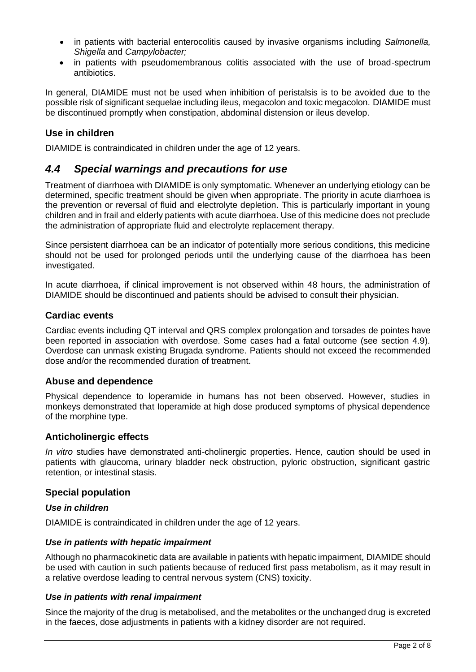- in patients with bacterial enterocolitis caused by invasive organisms including *Salmonella, Shigella* and *Campylobacter;*
- in patients with pseudomembranous colitis associated with the use of broad-spectrum antibiotics.

In general, DIAMIDE must not be used when inhibition of peristalsis is to be avoided due to the possible risk of significant sequelae including ileus, megacolon and toxic megacolon. DIAMIDE must be discontinued promptly when constipation, abdominal distension or ileus develop.

### **Use in children**

DIAMIDE is contraindicated in children under the age of 12 years.

## *4.4 Special warnings and precautions for use*

Treatment of diarrhoea with DIAMIDE is only symptomatic. Whenever an underlying etiology can be determined, specific treatment should be given when appropriate. The priority in acute diarrhoea is the prevention or reversal of fluid and electrolyte depletion. This is particularly important in young children and in frail and elderly patients with acute diarrhoea. Use of this medicine does not preclude the administration of appropriate fluid and electrolyte replacement therapy.

Since persistent diarrhoea can be an indicator of potentially more serious conditions, this medicine should not be used for prolonged periods until the underlying cause of the diarrhoea has been investigated.

In acute diarrhoea, if clinical improvement is not observed within 48 hours, the administration of DIAMIDE should be discontinued and patients should be advised to consult their physician.

#### **Cardiac events**

Cardiac events including QT interval and QRS complex prolongation and torsades de pointes have been reported in association with overdose. Some cases had a fatal outcome (see section 4.9). Overdose can unmask existing Brugada syndrome. Patients should not exceed the recommended dose and/or the recommended duration of treatment.

#### **Abuse and dependence**

Physical dependence to loperamide in humans has not been observed. However, studies in monkeys demonstrated that Ioperamide at high dose produced symptoms of physical dependence of the morphine type.

#### **Anticholinergic effects**

*In vitro* studies have demonstrated anti-cholinergic properties. Hence, caution should be used in patients with glaucoma, urinary bladder neck obstruction, pyloric obstruction, significant gastric retention, or intestinal stasis.

#### **Special population**

#### *Use in children*

DIAMIDE is contraindicated in children under the age of 12 years.

#### *Use in patients with hepatic impairment*

Although no pharmacokinetic data are available in patients with hepatic impairment, DIAMIDE should be used with caution in such patients because of reduced first pass metabolism, as it may result in a relative overdose leading to central nervous system (CNS) toxicity.

#### *Use in patients with renal impairment*

Since the majority of the drug is metabolised, and the metabolites or the unchanged drug is excreted in the faeces, dose adjustments in patients with a kidney disorder are not required.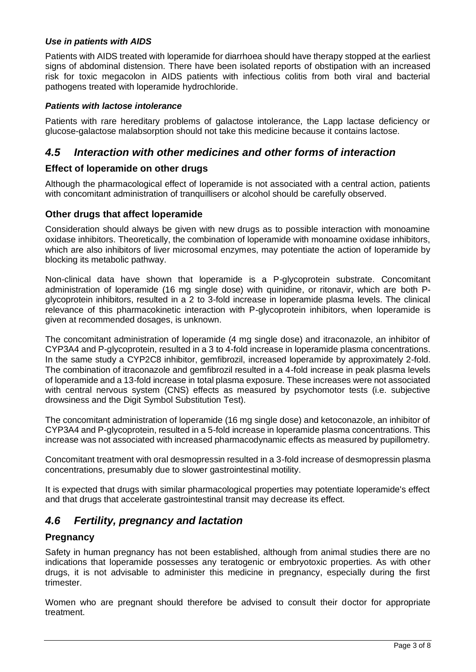#### *Use in patients with AIDS*

Patients with AIDS treated with loperamide for diarrhoea should have therapy stopped at the earliest signs of abdominal distension. There have been isolated reports of obstipation with an increased risk for toxic megacolon in AIDS patients with infectious colitis from both viral and bacterial pathogens treated with loperamide hydrochloride.

#### *Patients with lactose intolerance*

Patients with rare hereditary problems of galactose intolerance, the Lapp lactase deficiency or glucose-galactose malabsorption should not take this medicine because it contains lactose.

# *4.5 Interaction with other medicines and other forms of interaction*

#### **Effect of loperamide on other drugs**

Although the pharmacological effect of Ioperamide is not associated with a central action, patients with concomitant administration of tranquillisers or alcohol should be carefully observed.

#### **Other drugs that affect loperamide**

Consideration should always be given with new drugs as to possible interaction with monoamine oxidase inhibitors. Theoretically, the combination of loperamide with monoamine oxidase inhibitors, which are also inhibitors of liver microsomal enzymes, may potentiate the action of Ioperamide by blocking its metabolic pathway.

Non-clinical data have shown that loperamide is a P-glycoprotein substrate. Concomitant administration of loperamide (16 mg single dose) with quinidine, or ritonavir, which are both Pglycoprotein inhibitors, resulted in a 2 to 3-fold increase in loperamide plasma levels. The clinical relevance of this pharmacokinetic interaction with P-glycoprotein inhibitors, when loperamide is given at recommended dosages, is unknown.

The concomitant administration of loperamide (4 mg single dose) and itraconazole, an inhibitor of CYP3A4 and P-glycoprotein, resulted in a 3 to 4-fold increase in loperamide plasma concentrations. In the same study a CYP2C8 inhibitor, gemfibrozil, increased loperamide by approximately 2-fold. The combination of itraconazole and gemfibrozil resulted in a 4-fold increase in peak plasma levels of loperamide and a 13-fold increase in total plasma exposure. These increases were not associated with central nervous system (CNS) effects as measured by psychomotor tests (i.e. subjective drowsiness and the Digit Symbol Substitution Test).

The concomitant administration of loperamide (16 mg single dose) and ketoconazole, an inhibitor of CYP3A4 and P-glycoprotein, resulted in a 5-fold increase in loperamide plasma concentrations. This increase was not associated with increased pharmacodynamic effects as measured by pupillometry.

Concomitant treatment with oral desmopressin resulted in a 3-fold increase of desmopressin plasma concentrations, presumably due to slower gastrointestinal motility.

It is expected that drugs with similar pharmacological properties may potentiate loperamide's effect and that drugs that accelerate gastrointestinal transit may decrease its effect.

## *4.6 Fertility, pregnancy and lactation*

#### **Pregnancy**

Safety in human pregnancy has not been established, although from animal studies there are no indications that loperamide possesses any teratogenic or embryotoxic properties. As with other drugs, it is not advisable to administer this medicine in pregnancy, especially during the first trimester.

Women who are pregnant should therefore be advised to consult their doctor for appropriate treatment.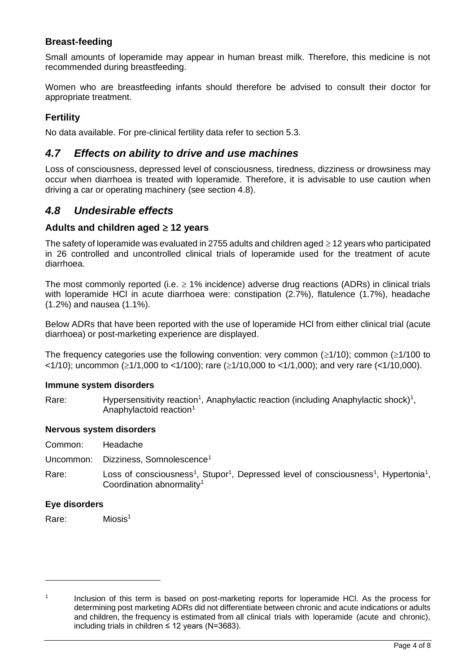### **Breast-feeding**

Small amounts of loperamide may appear in human breast milk. Therefore, this medicine is not recommended during breastfeeding.

Women who are breastfeeding infants should therefore be advised to consult their doctor for appropriate treatment.

## **Fertility**

No data available. For pre-clinical fertility data refer to section 5.3.

### *4.7 Effects on ability to drive and use machines*

Loss of consciousness, depressed level of consciousness, tiredness, dizziness or drowsiness may occur when diarrhoea is treated with loperamide. Therefore, it is advisable to use caution when driving a car or operating machinery (see section 4.8).

## *4.8 Undesirable effects*

#### Adults and children aged  $\geq$  12 years

The safety of loperamide was evaluated in 2755 adults and children aged  $\geq$  12 years who participated in 26 controlled and uncontrolled clinical trials of loperamide used for the treatment of acute diarrhoea.

The most commonly reported (i.e.  $\geq$  1% incidence) adverse drug reactions (ADRs) in clinical trials with loperamide HCl in acute diarrhoea were: constipation (2.7%), flatulence (1.7%), headache (1.2%) and nausea (1.1%).

Below ADRs that have been reported with the use of loperamide HCl from either clinical trial (acute diarrhoea) or post-marketing experience are displayed.

The frequency categories use the following convention: very common ( $\geq$ 1/10); common ( $\geq$ 1/100 to  $\leq$ 1/10); uncommon ( $\geq$ 1/1,000 to  $\leq$ 1/100); rare ( $\geq$ 1/10,000 to  $\leq$ 1/1,000); and very rare ( $\leq$ 1/10,000).

#### **Immune system disorders**

Rare: Hypersensitivity reaction<sup>1</sup>, Anaphylactic reaction (including Anaphylactic shock)<sup>1</sup>, Anaphylactoid reaction<sup>1</sup>

#### **Nervous system disorders**

Uncommon: Dizziness, Somnolescence<sup>1</sup>

Rare: Loss of consciousness<sup>1</sup>, Stupor<sup>1</sup>, Depressed level of consciousness<sup>1</sup>, Hypertonia<sup>1</sup>, Coordination abnormality<sup>1</sup>

#### **Eye disorders**

Rare: Miosis<sup>1</sup>

<sup>1</sup> Inclusion of this term is based on post-marketing reports for loperamide HCl. As the process for determining post marketing ADRs did not differentiate between chronic and acute indications or adults and children, the frequency is estimated from all clinical trials with loperamide (acute and chronic), including trials in children ≤ 12 years (N=3683).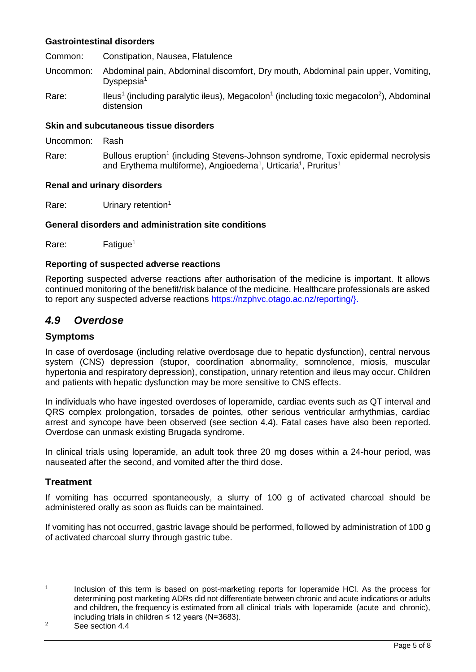#### **Gastrointestinal disorders**

Common: Constipation, Nausea, Flatulence

- Uncommon: Abdominal pain, Abdominal discomfort, Dry mouth, Abdominal pain upper, Vomiting, Dyspepsia<sup>1</sup>
- Rare: Ileus<sup>1</sup> (including paralytic ileus), Megacolon<sup>1</sup> (including toxic megacolon<sup>2</sup>), Abdominal distension

#### **Skin and subcutaneous tissue disorders**

Uncommon: Rash

Rare: Bullous eruption<sup>1</sup> (including Stevens-Johnson syndrome, Toxic epidermal necrolysis and Erythema multiforme), Angioedema<sup>1</sup>, Urticaria<sup>1</sup>, Pruritus<sup>1</sup>

#### **Renal and urinary disorders**

Rare: Urinary retention<sup>1</sup>

#### **General disorders and administration site conditions**

Rare: Fatigue<sup>1</sup>

#### **Reporting of suspected adverse reactions**

Reporting suspected adverse reactions after authorisation of the medicine is important. It allows continued monitoring of the benefit/risk balance of the medicine. Healthcare professionals are asked to report any suspected adverse reactions https://nzphvc.otago.ac.nz/reporting/}.

#### *4.9 Overdose*

#### **Symptoms**

In case of overdosage (including relative overdosage due to hepatic dysfunction), central nervous system (CNS) depression (stupor, coordination abnormality, somnolence, miosis, muscular hypertonia and respiratory depression), constipation, urinary retention and ileus may occur. Children and patients with hepatic dysfunction may be more sensitive to CNS effects.

In individuals who have ingested overdoses of loperamide, cardiac events such as QT interval and QRS complex prolongation, torsades de pointes, other serious ventricular arrhythmias, cardiac arrest and syncope have been observed (see section 4.4). Fatal cases have also been reported. Overdose can unmask existing Brugada syndrome.

In clinical trials using loperamide, an adult took three 20 mg doses within a 24-hour period, was nauseated after the second, and vomited after the third dose.

#### **Treatment**

If vomiting has occurred spontaneously, a slurry of 100 g of activated charcoal should be administered orally as soon as fluids can be maintained.

If vomiting has not occurred, gastric lavage should be performed, followed by administration of 100 g of activated charcoal slurry through gastric tube.

<sup>1</sup> Inclusion of this term is based on post-marketing reports for loperamide HCl. As the process for determining post marketing ADRs did not differentiate between chronic and acute indications or adults and children, the frequency is estimated from all clinical trials with loperamide (acute and chronic), including trials in children ≤ 12 years (N=3683).

<sup>&</sup>lt;sup>2</sup> See section 4.4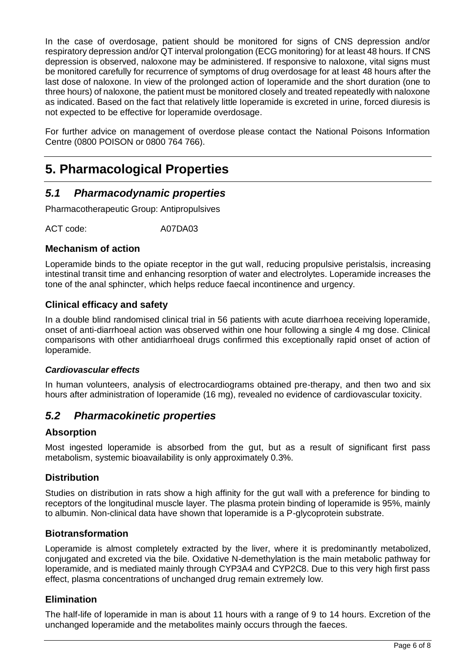In the case of overdosage, patient should be monitored for signs of CNS depression and/or respiratory depression and/or QT interval prolongation (ECG monitoring) for at least 48 hours. If CNS depression is observed, naloxone may be administered. If responsive to naloxone, vital signs must be monitored carefully for recurrence of symptoms of drug overdosage for at least 48 hours after the last dose of naloxone. In view of the prolonged action of Ioperamide and the short duration (one to three hours) of naloxone, the patient must be monitored closely and treated repeatedly with naloxone as indicated. Based on the fact that relatively little Ioperamide is excreted in urine, forced diuresis is not expected to be effective for loperamide overdosage.

For further advice on management of overdose please contact the National Poisons Information Centre (0800 POISON or 0800 764 766).

# **5. Pharmacological Properties**

# *5.1 Pharmacodynamic properties*

Pharmacotherapeutic Group: Antipropulsives

ACT code:  $A07DA03$ 

#### **Mechanism of action**

Loperamide binds to the opiate receptor in the gut wall, reducing propulsive peristalsis, increasing intestinal transit time and enhancing resorption of water and electrolytes. Loperamide increases the tone of the anal sphincter, which helps reduce faecal incontinence and urgency.

#### **Clinical efficacy and safety**

In a double blind randomised clinical trial in 56 patients with acute diarrhoea receiving loperamide, onset of anti-diarrhoeal action was observed within one hour following a single 4 mg dose. Clinical comparisons with other antidiarrhoeal drugs confirmed this exceptionally rapid onset of action of loperamide.

#### *Cardiovascular effects*

In human volunteers, analysis of electrocardiograms obtained pre-therapy, and then two and six hours after administration of Ioperamide (16 mg), revealed no evidence of cardiovascular toxicity.

## *5.2 Pharmacokinetic properties*

#### **Absorption**

Most ingested loperamide is absorbed from the gut, but as a result of significant first pass metabolism, systemic bioavailability is only approximately 0.3%.

#### **Distribution**

Studies on distribution in rats show a high affinity for the gut wall with a preference for binding to receptors of the longitudinal muscle layer. The plasma protein binding of loperamide is 95%, mainly to albumin. Non-clinical data have shown that loperamide is a P-glycoprotein substrate.

#### **Biotransformation**

Loperamide is almost completely extracted by the liver, where it is predominantly metabolized, conjugated and excreted via the bile. Oxidative N-demethylation is the main metabolic pathway for loperamide, and is mediated mainly through CYP3A4 and CYP2C8. Due to this very high first pass effect, plasma concentrations of unchanged drug remain extremely low.

#### **Elimination**

The half-life of loperamide in man is about 11 hours with a range of 9 to 14 hours. Excretion of the unchanged loperamide and the metabolites mainly occurs through the faeces.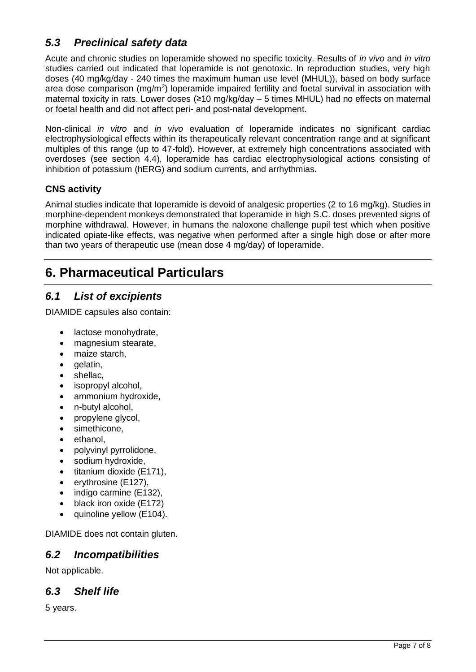# *5.3 Preclinical safety data*

Acute and chronic studies on loperamide showed no specific toxicity. Results of *in vivo* and *in vitro* studies carried out indicated that loperamide is not genotoxic. In reproduction studies, very high doses (40 mg/kg/day - 240 times the maximum human use level (MHUL)), based on body surface area dose comparison (mg/m<sup>2</sup>) loperamide impaired fertility and foetal survival in association with maternal toxicity in rats. Lower doses (≥10 mg/kg/day – 5 times MHUL) had no effects on maternal or foetal health and did not affect peri- and post-natal development.

Non-clinical *in vitro* and *in vivo* evaluation of loperamide indicates no significant cardiac electrophysiological effects within its therapeutically relevant concentration range and at significant multiples of this range (up to 47-fold). However, at extremely high concentrations associated with overdoses (see section 4.4), loperamide has cardiac electrophysiological actions consisting of inhibition of potassium (hERG) and sodium currents, and arrhythmias.

## **CNS activity**

Animal studies indicate that Ioperamide is devoid of analgesic properties (2 to 16 mg/kg). Studies in morphine-dependent monkeys demonstrated that loperamide in high S.C. doses prevented signs of morphine withdrawal. However, in humans the naloxone challenge pupil test which when positive indicated opiate-like effects, was negative when performed after a single high dose or after more than two years of therapeutic use (mean dose 4 mg/day) of Ioperamide.

# **6. Pharmaceutical Particulars**

# *6.1 List of excipients*

DIAMIDE capsules also contain:

- lactose monohydrate.
- magnesium stearate,
- maize starch,
- gelatin,
- shellac,
- isopropyl alcohol,
- ammonium hydroxide,
- n-butyl alcohol,
- propylene glycol,
- simethicone.
- ethanol,
- polyvinyl pyrrolidone,
- sodium hydroxide,
- titanium dioxide (E171),
- erythrosine (E127),
- indigo carmine (E132).
- black iron oxide (E172)
- quinoline vellow (E104).

DIAMIDE does not contain gluten.

## *6.2 Incompatibilities*

Not applicable.

## *6.3 Shelf life*

5 years.